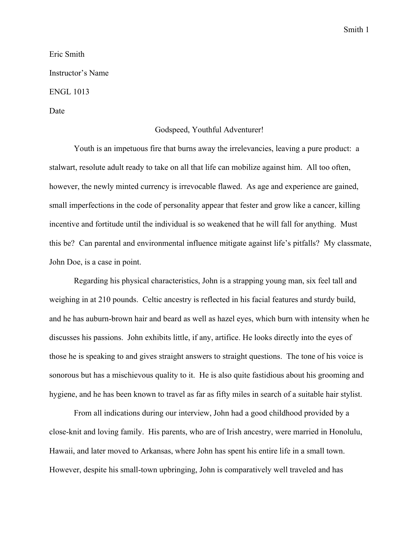Eric Smith Instructor's Name ENGL 1013

Date

## Godspeed, Youthful Adventurer!

Youth is an impetuous fire that burns away the irrelevancies, leaving a pure product: a stalwart, resolute adult ready to take on all that life can mobilize against him. All too often, however, the newly minted currency is irrevocable flawed. As age and experience are gained, small imperfections in the code of personality appear that fester and grow like a cancer, killing incentive and fortitude until the individual is so weakened that he will fall for anything. Must this be? Can parental and environmental influence mitigate against life's pitfalls? My classmate, John Doe, is a case in point.

Regarding his physical characteristics, John is a strapping young man, six feel tall and weighing in at 210 pounds. Celtic ancestry is reflected in his facial features and sturdy build, and he has auburn-brown hair and beard as well as hazel eyes, which burn with intensity when he discusses his passions. John exhibits little, if any, artifice. He looks directly into the eyes of those he is speaking to and gives straight answers to straight questions. The tone of his voice is sonorous but has a mischievous quality to it. He is also quite fastidious about his grooming and hygiene, and he has been known to travel as far as fifty miles in search of a suitable hair stylist.

From all indications during our interview, John had a good childhood provided by a close-knit and loving family. His parents, who are of Irish ancestry, were married in Honolulu, Hawaii, and later moved to Arkansas, where John has spent his entire life in a small town. However, despite his small-town upbringing, John is comparatively well traveled and has